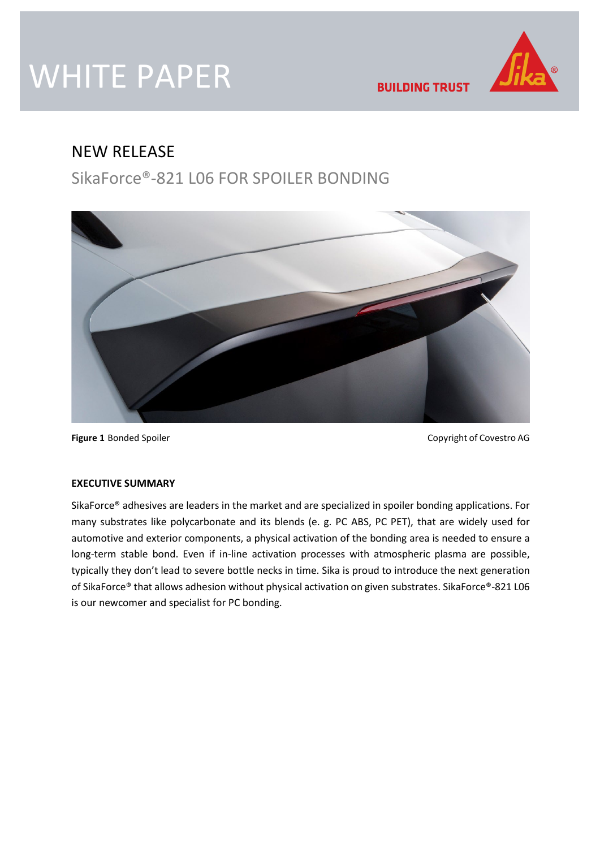# WHITE PAPER



**BUILDING TRUST** 

# NEW RELEASE

SikaForce®-821 L06 FOR SPOILER BONDING



**Figure 1** Bonded Spoiler **Copyright of Covestro AG** Copyright of Covestro AG

### **EXECUTIVE SUMMARY**

SikaForce® adhesives are leaders in the market and are specialized in spoiler bonding applications. For many substrates like polycarbonate and its blends (e. g. PC ABS, PC PET), that are widely used for automotive and exterior components, a physical activation of the bonding area is needed to ensure a long-term stable bond. Even if in-line activation processes with atmospheric plasma are possible, typically they don't lead to severe bottle necks in time. Sika is proud to introduce the next generation of SikaForce® that allows adhesion without physical activation on given substrates. SikaForce®-821 L06 is our newcomer and specialist for PC bonding.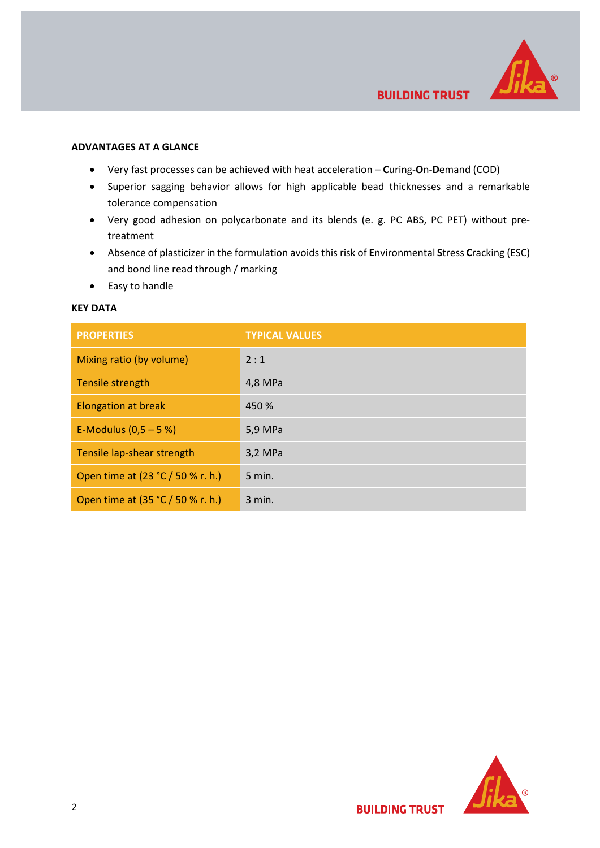

#### **ADVANTAGES AT A GLANCE**

- Very fast processes can be achieved with heat acceleration **C**uring-**O**n-**D**emand (COD)
- Superior sagging behavior allows for high applicable bead thicknesses and a remarkable tolerance compensation
- Very good adhesion on polycarbonate and its blends (e. g. PC ABS, PC PET) without pretreatment
- Absence of plasticizer in the formulation avoids this risk of **E**nvironmental **S**tress **C**racking (ESC) and bond line read through / marking
- Easy to handle

### **KEY DATA**

| <b>PROPERTIES</b>                 | <b>TYPICAL VALUES</b> |
|-----------------------------------|-----------------------|
| Mixing ratio (by volume)          | 2:1                   |
| Tensile strength                  | 4,8 MPa               |
| <b>Elongation at break</b>        | 450 %                 |
| E-Modulus $(0,5 - 5%)$            | 5,9 MPa               |
| Tensile lap-shear strength        | 3,2 MPa               |
| Open time at (23 °C / 50 % r. h.) | $5$ min.              |
| Open time at (35 °C / 50 % r. h.) | 3 min.                |

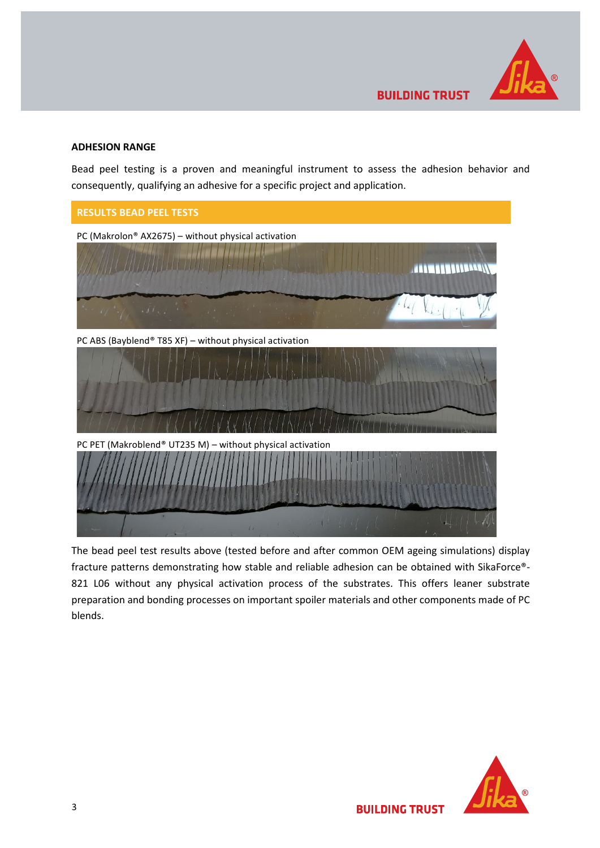

## **ADHESION RANGE**

Bead peel testing is a proven and meaningful instrument to assess the adhesion behavior and consequently, qualifying an adhesive for a specific project and application.



The bead peel test results above (tested before and after common OEM ageing simulations) display fracture patterns demonstrating how stable and reliable adhesion can be obtained with SikaForce®- 821 L06 without any physical activation process of the substrates. This offers leaner substrate preparation and bonding processes on important spoiler materials and other components made of PC blends.



**BUILDING TRUST**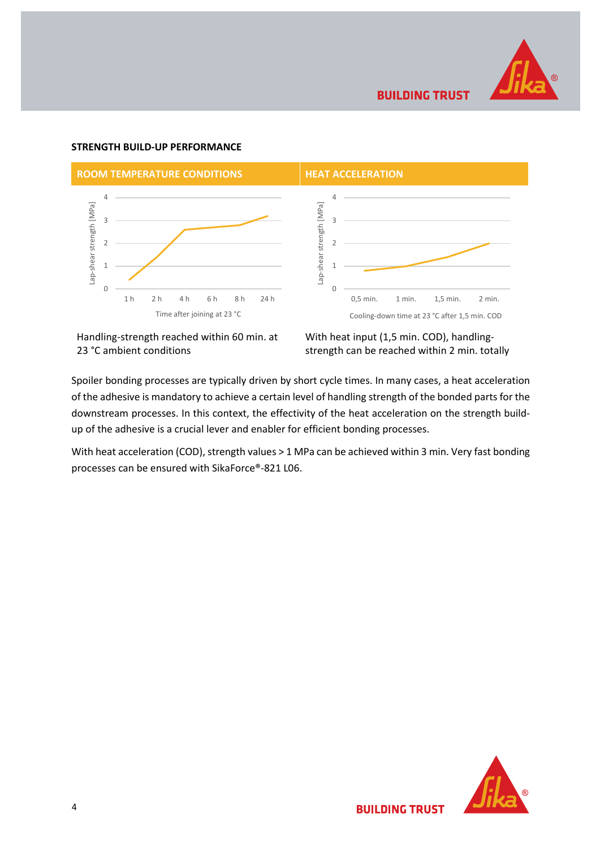

**BUILDING TRUST** 

### **STRENGTH BUILD-UP PERFORMANCE**



Handling-strength reached within 60 min. at 23 °C ambient conditions

With heat input (1,5 min. COD), handlingstrength can be reached within 2 min. totally

Spoiler bonding processes are typically driven by short cycle times. In many cases, a heat acceleration of the adhesive is mandatory to achieve a certain level of handling strength of the bonded parts for the downstream processes. In this context, the effectivity of the heat acceleration on the strength buildup of the adhesive is a crucial lever and enabler for efficient bonding processes.

With heat acceleration (COD), strength values > 1 MPa can be achieved within 3 min. Very fast bonding processes can be ensured with SikaForce®-821 L06.